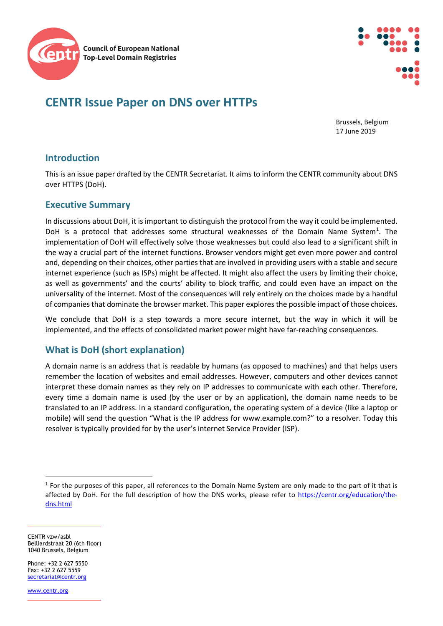

# **CENTR Issue Paper on DNS over HTTPs**

Brussels, Belgium 17 June 2019

# **Introduction**

This is an issue paper drafted by the CENTR Secretariat. It aims to inform the CENTR community about DNS over HTTPS (DoH).

### **Executive Summary**

In discussions about DoH, it is important to distinguish the protocol from the way it could be implemented. DoH is a protocol that addresses some structural weaknesses of the Domain Name System<sup>[1](#page-0-0)</sup>. The implementation of DoH will effectively solve those weaknesses but could also lead to a significant shift in the way a crucial part of the internet functions. Browser vendors might get even more power and control and, depending on their choices, other parties that are involved in providing users with a stable and secure internet experience (such as ISPs) might be affected. It might also affect the users by limiting their choice, as well as governments' and the courts' ability to block traffic, and could even have an impact on the universality of the internet. Most of the consequences will rely entirely on the choices made by a handful of companies that dominate the browser market. This paper explores the possible impact of those choices.

We conclude that DoH is a step towards a more secure internet, but the way in which it will be implemented, and the effects of consolidated market power might have far-reaching consequences.

## **What is DoH (short explanation)**

A domain name is an address that is readable by humans (as opposed to machines) and that helps users remember the location of websites and email addresses. However, computers and other devices cannot interpret these domain names as they rely on IP addresses to communicate with each other. Therefore, every time a domain name is used (by the user or by an application), the domain name needs to be translated to an IP address. In a standard configuration, the operating system of a device (like a laptop or mobile) will send the question "What is the IP address for www.example.com?" to a resolver. Today this resolver is typically provided for by the user's internet Service Provider (ISP).

CENTR vzw/asbl Belliardstraat 20 (6th floor) 1040 Brussels, Belgium

Phone: +32 2 627 5550  $Fax: +32 2 627 5559$ [secretariat@centr.org](mailto:secretariat@centr.org)

[www.centr.org](http://www.centr.org/)

<span id="page-0-0"></span> $1$  For the purposes of this paper, all references to the Domain Name System are only made to the part of it that is affected by DoH. For the full description of how the DNS works, please refer to [https://centr.org/education/the](https://centr.org/education/the-dns.html)[dns.html](https://centr.org/education/the-dns.html)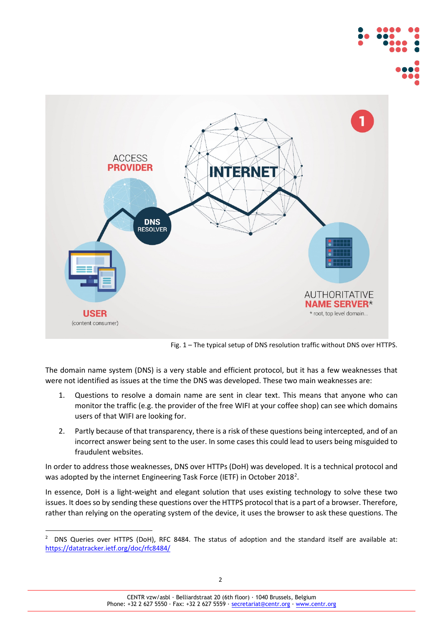



Fig. 1 – The typical setup of DNS resolution traffic without DNS over HTTPS.

The domain name system (DNS) is a very stable and efficient protocol, but it has a few weaknesses that were not identified as issues at the time the DNS was developed. These two main weaknesses are:

- 1. Questions to resolve a domain name are sent in clear text. This means that anyone who can monitor the traffic (e.g. the provider of the free WIFI at your coffee shop) can see which domains users of that WIFI are looking for.
- 2. Partly because of that transparency, there is a risk of these questions being intercepted, and of an incorrect answer being sent to the user. In some cases this could lead to users being misguided to fraudulent websites.

In order to address those weaknesses, DNS over HTTPs (DoH) was developed. It is a technical protocol and was adopted by the internet Engineering Task Force (IETF) in October [2](#page-1-0)018<sup>2</sup>.

In essence, DoH is a light-weight and elegant solution that uses existing technology to solve these two issues. It does so by sending these questions over the HTTPS protocol that is a part of a browser. Therefore, rather than relying on the operating system of the device, it uses the browser to ask these questions. The

<span id="page-1-0"></span> <sup>2</sup> DNS Queries over HTTPS (DoH), RFC 8484. The status of adoption and the standard itself are available at: <https://datatracker.ietf.org/doc/rfc8484/>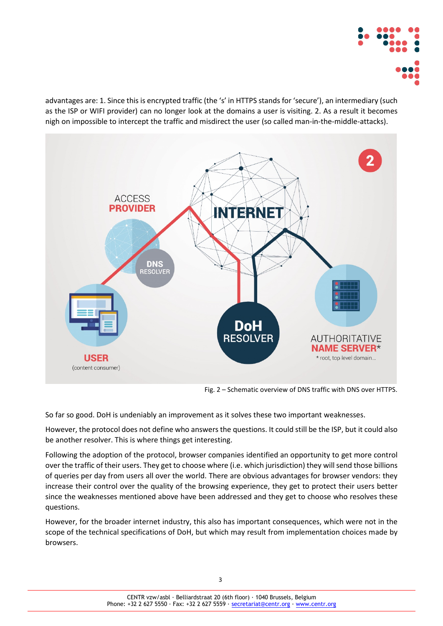

advantages are: 1. Since this is encrypted traffic (the 's' in HTTPS stands for 'secure'), an intermediary (such as the ISP or WIFI provider) can no longer look at the domains a user is visiting. 2. As a result it becomes nigh on impossible to intercept the traffic and misdirect the user (so called man-in-the-middle-attacks).



Fig. 2 – Schematic overview of DNS traffic with DNS over HTTPS.

So far so good. DoH is undeniably an improvement as it solves these two important weaknesses.

However, the protocol does not define who answers the questions. It could still be the ISP, but it could also be another resolver. This is where things get interesting.

Following the adoption of the protocol, browser companies identified an opportunity to get more control over the traffic of their users. They get to choose where (i.e. which jurisdiction) they will send those billions of queries per day from users all over the world. There are obvious advantages for browser vendors: they increase their control over the quality of the browsing experience, they get to protect their users better since the weaknesses mentioned above have been addressed and they get to choose who resolves these questions.

However, for the broader internet industry, this also has important consequences, which were not in the scope of the technical specifications of DoH, but which may result from implementation choices made by browsers.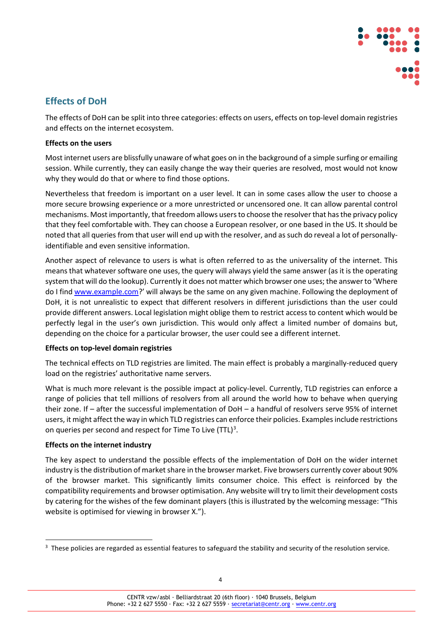

# **Effects of DoH**

The effects of DoH can be split into three categories: effects on users, effects on top-level domain registries and effects on the internet ecosystem.

#### **Effects on the users**

Most internet users are blissfully unaware of what goes on in the background of a simple surfing or emailing session. While currently, they can easily change the way their queries are resolved, most would not know why they would do that or where to find those options.

Nevertheless that freedom is important on a user level. It can in some cases allow the user to choose a more secure browsing experience or a more unrestricted or uncensored one. It can allow parental control mechanisms. Most importantly, that freedom allows users to choose the resolver that has the privacy policy that they feel comfortable with. They can choose a European resolver, or one based in the US. It should be noted that all queries from that user will end up with the resolver, and as such do reveal a lot of personallyidentifiable and even sensitive information.

Another aspect of relevance to users is what is often referred to as the universality of the internet. This means that whatever software one uses, the query will always yield the same answer (as it is the operating system that will do the lookup). Currently it does not matter which browser one uses; the answer to 'Where do I find [www.example.com?](http://www.example.com/)' will always be the same on any given machine. Following the deployment of DoH, it is not unrealistic to expect that different resolvers in different jurisdictions than the user could provide different answers. Local legislation might oblige them to restrict access to content which would be perfectly legal in the user's own jurisdiction. This would only affect a limited number of domains but, depending on the choice for a particular browser, the user could see a different internet.

#### **Effects on top-level domain registries**

The technical effects on TLD registries are limited. The main effect is probably a marginally-reduced query load on the registries' authoritative name servers.

What is much more relevant is the possible impact at policy-level. Currently, TLD registries can enforce a range of policies that tell millions of resolvers from all around the world how to behave when querying their zone. If – after the successful implementation of DoH – a handful of resolvers serve 95% of internet users, it might affect the way in which TLD registries can enforce their policies. Examples include restrictions on queries per second and respect for Time To Live (TTL)<sup>[3](#page-3-0)</sup>.

#### **Effects on the internet industry**

The key aspect to understand the possible effects of the implementation of DoH on the wider internet industry is the distribution of market share in the browser market. Five browsers currently cover about 90% of the browser market. This significantly limits consumer choice. This effect is reinforced by the compatibility requirements and browser optimisation. Any website will try to limit their development costs by catering for the wishes of the few dominant players (this is illustrated by the welcoming message: "This website is optimised for viewing in browser X.").

<span id="page-3-0"></span> $3$  These policies are regarded as essential features to safeguard the stability and security of the resolution service.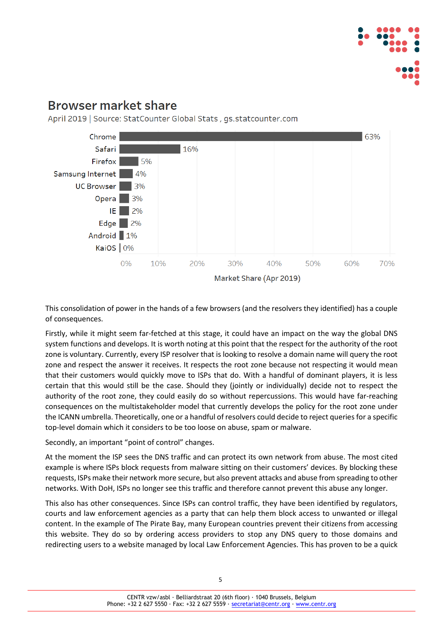

# **Browser market share**

April 2019 | Source: StatCounter Global Stats, gs.statcounter.com



This consolidation of power in the hands of a few browsers (and the resolvers they identified) has a couple of consequences.

Firstly, while it might seem far-fetched at this stage, it could have an impact on the way the global DNS system functions and develops. It is worth noting at this point that the respect for the authority of the root zone is voluntary. Currently, every ISP resolver that is looking to resolve a domain name will query the root zone and respect the answer it receives. It respects the root zone because not respecting it would mean that their customers would quickly move to ISPs that do. With a handful of dominant players, it is less certain that this would still be the case. Should they (jointly or individually) decide not to respect the authority of the root zone, they could easily do so without repercussions. This would have far-reaching consequences on the multistakeholder model that currently develops the policy for the root zone under the ICANN umbrella. Theoretically, one or a handful of resolvers could decide to reject queries for a specific top-level domain which it considers to be too loose on abuse, spam or malware.

Secondly, an important "point of control" changes.

At the moment the ISP sees the DNS traffic and can protect its own network from abuse. The most cited example is where ISPs block requests from malware sitting on their customers' devices. By blocking these requests, ISPs make their network more secure, but also prevent attacks and abuse from spreading to other networks. With DoH, ISPs no longer see this traffic and therefore cannot prevent this abuse any longer.

This also has other consequences. Since ISPs can control traffic, they have been identified by regulators, courts and law enforcement agencies as a party that can help them block access to unwanted or illegal content. In the example of The Pirate Bay, many European countries prevent their citizens from accessing this website. They do so by ordering access providers to stop any DNS query to those domains and redirecting users to a website managed by local Law Enforcement Agencies. This has proven to be a quick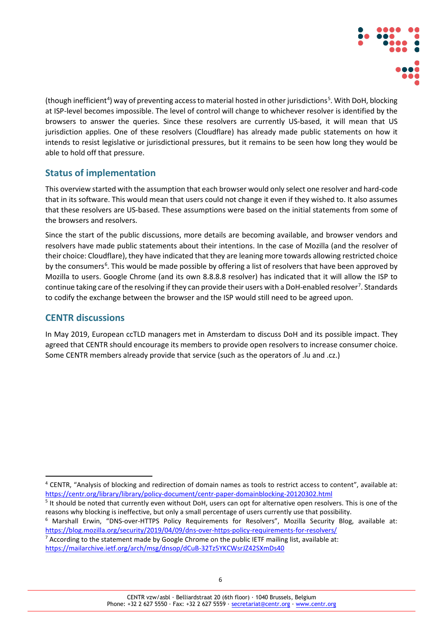

(though inefficient<sup>[4](#page-5-0)</sup>) way of preventing access to material hosted in other jurisdictions<sup>[5](#page-5-1)</sup>. With DoH, blocking at ISP-level becomes impossible. The level of control will change to whichever resolver is identified by the browsers to answer the queries. Since these resolvers are currently US-based, it will mean that US jurisdiction applies. One of these resolvers (Cloudflare) has already made public statements on how it intends to resist legislative or jurisdictional pressures, but it remains to be seen how long they would be able to hold off that pressure.

## **Status of implementation**

This overview started with the assumption that each browser would only select one resolver and hard-code that in its software. This would mean that users could not change it even if they wished to. It also assumes that these resolvers are US-based. These assumptions were based on the initial statements from some of the browsers and resolvers.

Since the start of the public discussions, more details are becoming available, and browser vendors and resolvers have made public statements about their intentions. In the case of Mozilla (and the resolver of their choice: Cloudflare), they have indicated that they are leaning more towards allowing restricted choice by the consumers<sup>[6](#page-5-2)</sup>. This would be made possible by offering a list of resolvers that have been approved by Mozilla to users. Google Chrome (and its own 8.8.8.8 resolver) has indicated that it will allow the ISP to continue taking care of the resolving if they can provide their users with a DoH-enabled resolver<sup>[7](#page-5-3)</sup>. Standards to codify the exchange between the browser and the ISP would still need to be agreed upon.

# **CENTR discussions**

In May 2019, European ccTLD managers met in Amsterdam to discuss DoH and its possible impact. They agreed that CENTR should encourage its members to provide open resolvers to increase consumer choice. Some CENTR members already provide that service (such as the operators of .lu and .cz.)

<span id="page-5-0"></span> <sup>4</sup> CENTR, "Analysis of blocking and redirection of domain names as tools to restrict access to content", available at: <https://centr.org/library/library/policy-document/centr-paper-domainblocking-20120302.html>

<span id="page-5-1"></span><sup>&</sup>lt;sup>5</sup> It should be noted that currently even without DoH, users can opt for alternative open resolvers. This is one of the reasons why blocking is ineffective, but only a small percentage of users currently use that possibility.

<span id="page-5-2"></span><sup>6</sup> Marshall Erwin, "DNS-over-HTTPS Policy Requirements for Resolvers", Mozilla Security Blog, available at: <https://blog.mozilla.org/security/2019/04/09/dns-over-https-policy-requirements-for-resolvers/>

<span id="page-5-3"></span><sup>&</sup>lt;sup>7</sup> According to the statement made by Google Chrome on the public IETF mailing list, available at: <https://mailarchive.ietf.org/arch/msg/dnsop/dCuB-32Tz5YKCWsrJZ42SXmDs40>